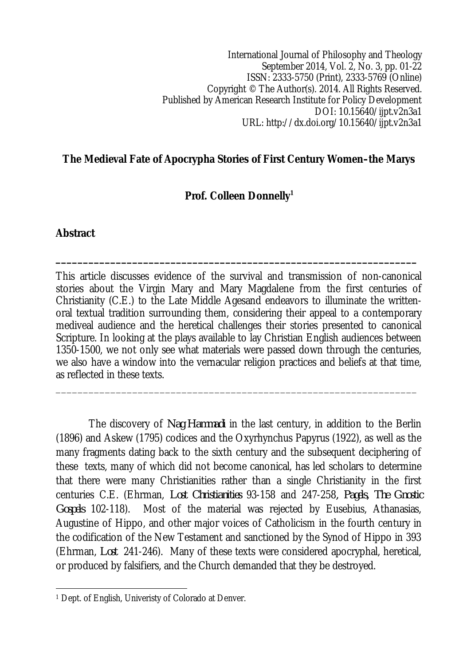International Journal of Philosophy and Theology September 2014, Vol. 2, No. 3, pp. 01-22 ISSN: 2333-5750 (Print), 2333-5769 (Online) Copyright © The Author(s). 2014. All Rights Reserved. Published by American Research Institute for Policy Development DOI: 10.15640/ijpt.v2n3a1 URL: http://dx.doi.org/10.15640/ijpt.v2n3a1

### **The Medieval Fate of Apocrypha Stories of First Century Women–the Marys**

### **Prof. Colleen Donnelly<sup>1</sup>**

**\_\_\_\_\_\_\_\_\_\_\_\_\_\_\_\_\_\_\_\_\_\_\_\_\_\_\_\_\_\_\_\_\_\_\_\_\_\_\_\_\_\_\_\_\_\_\_\_\_\_\_\_\_\_\_\_\_\_\_\_\_\_\_\_\_\_**

#### **Abstract**

This article discusses evidence of the survival and transmission of non-canonical stories about the Virgin Mary and Mary Magdalene from the first centuries of Christianity (C.E.) to the Late Middle Agesand endeavors to illuminate the writtenoral textual tradition surrounding them, considering their appeal to a contemporary mediveal audience and the heretical challenges their stories presented to canonical Scripture. In looking at the plays available to lay Christian English audiences between 1350-1500, we not only see what materials were passed down through the centuries, we also have a window into the vernacular religion practices and beliefs at that time, as reflected in these texts.

\_\_\_\_\_\_\_\_\_\_\_\_\_\_\_\_\_\_\_\_\_\_\_\_\_\_\_\_\_\_\_\_\_\_\_\_\_\_\_\_\_\_\_\_\_\_\_\_\_\_\_\_\_\_\_\_\_\_\_\_\_\_\_\_\_\_

The discovery of *Nag Hammadi* in the last century, in addition to the Berlin (1896) and Askew (1795) codices and the Oxyrhynchus Papyrus (1922), as well as the many fragments dating back to the sixth century and the subsequent deciphering of these texts, many of which did not become canonical, has led scholars to determine that there were many Christianities rather than a single Christianity in the first centuries C.E. (Ehrman, *Lost Christianities* 93-158 and 247-258*, Pagels, The Gnostic Gospels* 102-118). Most of the material was rejected by Eusebius, Athanasias, Augustine of Hippo, and other major voices of Catholicism in the fourth century in the codification of the New Testament and sanctioned by the Synod of Hippo in 393 (Ehrman, *Lost* 241-246). Many of these texts were considered apocryphal, heretical, or produced by falsifiers, and the Church demanded that they be destroyed.

 $\overline{a}$ <sup>1</sup> Dept. of English, Univeristy of Colorado at Denver.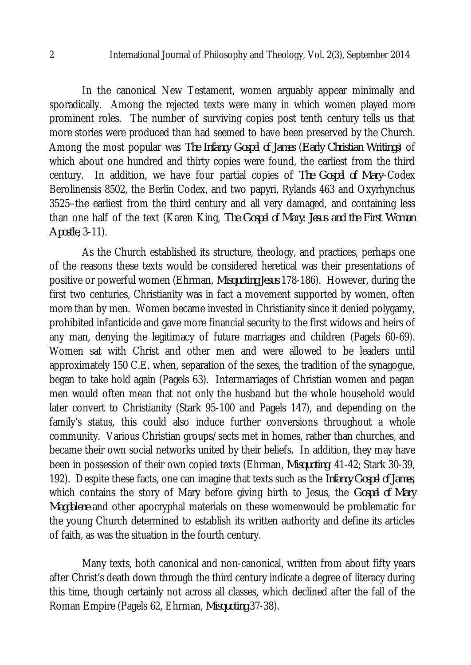In the canonical New Testament, women arguably appear minimally and sporadically. Among the rejected texts were many in which women played more prominent roles. The number of surviving copies post tenth century tells us that more stories were produced than had seemed to have been preserved by the Church. Among the most popular was *The Infancy Gospel of James* (*Early Christian Writings*) of which about one hundred and thirty copies were found, the earliest from the third century. In addition, we have four partial copies of *The Gospel of Mary*–Codex Berolinensis 8502, the Berlin Codex, and two papyri, Rylands 463 and Oxyrhynchus 3525–the earliest from the third century and all very damaged, and containing less than one half of the text (Karen King, *The Gospel of Mary: Jesus and the First Woman Apostle,* 3-11).

As the Church established its structure, theology, and practices, perhaps one of the reasons these texts would be considered heretical was their presentations of positive or powerful women (Ehrman, *Misquoting Jesus* 178-186). However, during the first two centuries, Christianity was in fact a movement supported by women, often more than by men. Women became invested in Christianity since it denied polygamy, prohibited infanticide and gave more financial security to the first widows and heirs of any man, denying the legitimacy of future marriages and children (Pagels 60-69). Women sat with Christ and other men and were allowed to be leaders until approximately 150 C.E. when, separation of the sexes, the tradition of the synagogue, began to take hold again (Pagels 63). Intermarriages of Christian women and pagan men would often mean that not only the husband but the whole household would later convert to Christianity (Stark 95-100 and Pagels 147), and depending on the family's status, this could also induce further conversions throughout a whole community. Various Christian groups/sects met in homes, rather than churches, and became their own social networks united by their beliefs. In addition, they may have been in possession of their own copied texts (Ehrman, *Misquoting* 41-42; Stark 30-39, 192). Despite these facts, one can imagine that texts such as the *Infancy Gospel of James*, which contains the story of Mary before giving birth to Jesus, the *Gospel of Mary Magdalene* and other apocryphal materials on these womenwould be problematic for the young Church determined to establish its written authority and define its articles of faith, as was the situation in the fourth century.

Many texts, both canonical and non-canonical, written from about fifty years after Christ's death down through the third century indicate a degree of literacy during this time, though certainly not across all classes, which declined after the fall of the Roman Empire (Pagels 62, Ehrman, *Misquoting* 37-38).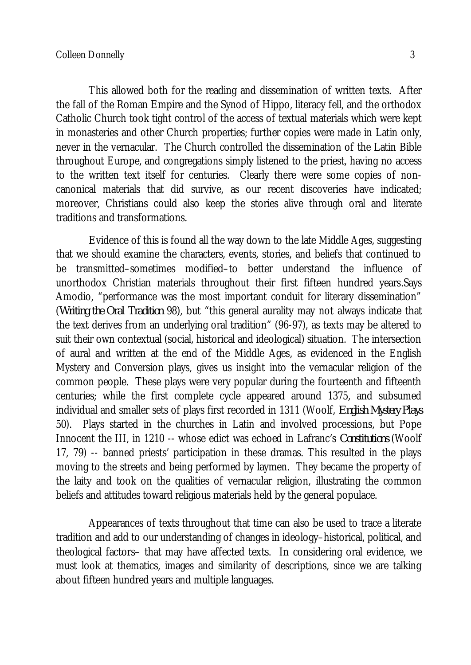This allowed both for the reading and dissemination of written texts. After the fall of the Roman Empire and the Synod of Hippo, literacy fell, and the orthodox Catholic Church took tight control of the access of textual materials which were kept in monasteries and other Church properties; further copies were made in Latin only, never in the vernacular. The Church controlled the dissemination of the Latin Bible throughout Europe, and congregations simply listened to the priest, having no access to the written text itself for centuries. Clearly there were some copies of noncanonical materials that did survive, as our recent discoveries have indicated; moreover, Christians could also keep the stories alive through oral and literate traditions and transformations.

Evidence of this is found all the way down to the late Middle Ages, suggesting that we should examine the characters, events, stories, and beliefs that continued to be transmitted–sometimes modified–to better understand the influence of unorthodox Christian materials throughout their first fifteen hundred years.Says Amodio, "performance was the most important conduit for literary dissemination" (*Writing the Oral Tradition* 98), but "this general aurality may not always indicate that the text derives from an underlying oral tradition" (96-97), as texts may be altered to suit their own contextual (social, historical and ideological) situation. The intersection of aural and written at the end of the Middle Ages, as evidenced in the English Mystery and Conversion plays, gives us insight into the vernacular religion of the common people. These plays were very popular during the fourteenth and fifteenth centuries; while the first complete cycle appeared around 1375, and subsumed individual and smaller sets of plays first recorded in 1311 (Woolf, *English Mystery Plays*  50). Plays started in the churches in Latin and involved processions, but Pope Innocent the III, in 1210 -- whose edict was echoed in Lafranc's *Constitutions* (Woolf 17, 79) -- banned priests' participation in these dramas. This resulted in the plays moving to the streets and being performed by laymen. They became the property of the laity and took on the qualities of vernacular religion, illustrating the common beliefs and attitudes toward religious materials held by the general populace.

Appearances of texts throughout that time can also be used to trace a literate tradition and add to our understanding of changes in ideology–historical, political, and theological factors– that may have affected texts. In considering oral evidence, we must look at thematics, images and similarity of descriptions, since we are talking about fifteen hundred years and multiple languages.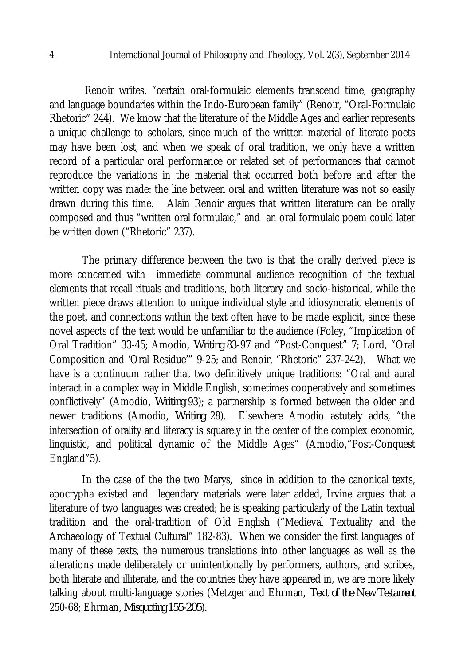Renoir writes, "certain oral-formulaic elements transcend time, geography and language boundaries within the Indo-European family" (Renoir, "Oral-Formulaic Rhetoric" 244). We know that the literature of the Middle Ages and earlier represents a unique challenge to scholars, since much of the written material of literate poets may have been lost, and when we speak of oral tradition, we only have a written record of a particular oral performance or related set of performances that cannot reproduce the variations in the material that occurred both before and after the written copy was made: the line between oral and written literature was not so easily drawn during this time. Alain Renoir argues that written literature can be orally composed and thus "written oral formulaic," and an oral formulaic poem could later be written down ("Rhetoric" 237).

The primary difference between the two is that the orally derived piece is more concerned with immediate communal audience recognition of the textual elements that recall rituals and traditions, both literary and socio-historical, while the written piece draws attention to unique individual style and idiosyncratic elements of the poet, and connections within the text often have to be made explicit, since these novel aspects of the text would be unfamiliar to the audience (Foley, "Implication of Oral Tradition" 33-45; Amodio, *Writing* 83-97 and "Post-Conquest" 7; Lord, "Oral Composition and 'Oral Residue'" 9-25; and Renoir, "Rhetoric" 237-242). What we have is a continuum rather that two definitively unique traditions: "Oral and aural interact in a complex way in Middle English, sometimes cooperatively and sometimes conflictively" (Amodio, *Writing* 93); a partnership is formed between the older and newer traditions (Amodio, *Writing* 28). Elsewhere Amodio astutely adds, "the intersection of orality and literacy is squarely in the center of the complex economic, linguistic, and political dynamic of the Middle Ages" (Amodio,"Post-Conquest England"5).

In the case of the the two Marys, since in addition to the canonical texts, apocrypha existed and legendary materials were later added, Irvine argues that a literature of two languages was created; he is speaking particularly of the Latin textual tradition and the oral-tradition of Old English ("Medieval Textuality and the Archaeology of Textual Cultural" 182-83). When we consider the first languages of many of these texts, the numerous translations into other languages as well as the alterations made deliberately or unintentionally by performers, authors, and scribes, both literate and illiterate, and the countries they have appeared in, we are more likely talking about multi-language stories (Metzger and Ehrman, *Text of the New Testament*  250-68; Ehrman*, Misquoting 155-205).*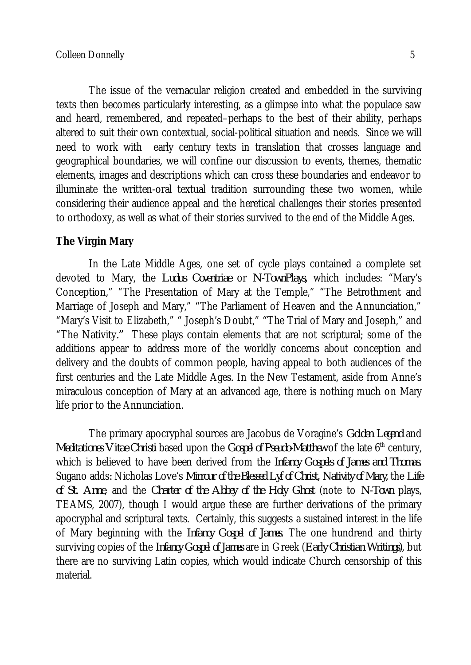The issue of the vernacular religion created and embedded in the surviving texts then becomes particularly interesting, as a glimpse into what the populace saw and heard, remembered, and repeated–perhaps to the best of their ability, perhaps altered to suit their own contextual, social-political situation and needs. Since we will need to work with early century texts in translation that crosses language and geographical boundaries, we will confine our discussion to events, themes, thematic elements, images and descriptions which can cross these boundaries and endeavor to illuminate the written-oral textual tradition surrounding these two women, while considering their audience appeal and the heretical challenges their stories presented to orthodoxy, as well as what of their stories survived to the end of the Middle Ages.

#### **The Virgin Mary**

In the Late Middle Ages, one set of cycle plays contained a complete set devoted to Mary, the *Ludus Coventriae* or *N-TownPlays,* which includes: "Mary's Conception," "The Presentation of Mary at the Temple," "The Betrothment and Marriage of Joseph and Mary," "The Parliament of Heaven and the Annunciation," "Mary's Visit to Elizabeth," " Joseph's Doubt," "The Trial of Mary and Joseph," and "The Nativity*."* These plays contain elements that are not scriptural; some of the additions appear to address more of the worldly concerns about conception and delivery and the doubts of common people, having appeal to both audiences of the first centuries and the Late Middle Ages. In the New Testament, aside from Anne's miraculous conception of Mary at an advanced age, there is nothing much on Mary life prior to the Annunciation.

The primary apocryphal sources are Jacobus de Voragine's *Golden Legend* and *Meditationes Vitae Christi* based upon the *Gospel of Pseudo-Matthew* of the late 6<sup>th</sup> century, which is believed to have been derived from the *Infancy Gospels of James and Thomas*. Sugano adds*:* Nicholas Love's *Mirrour of the Blessed Lyf of Christ, Nativity of Mary,* the *Life of St. Anne*, and the *Charter of the Abbey of the Holy Ghost* (note to *N-Town* plays, TEAMS, 2007), though I would argue these are further derivations of the primary apocryphal and scriptural texts. Certainly, this suggests a sustained interest in the life of Mary beginning with the *Infancy Gospel of James*. The one hundrend and thirty surviving copies of the *Infancy Gospel of James* are in Greek (*Early Christian Writings)*, but there are no surviving Latin copies, which would indicate Church censorship of this material.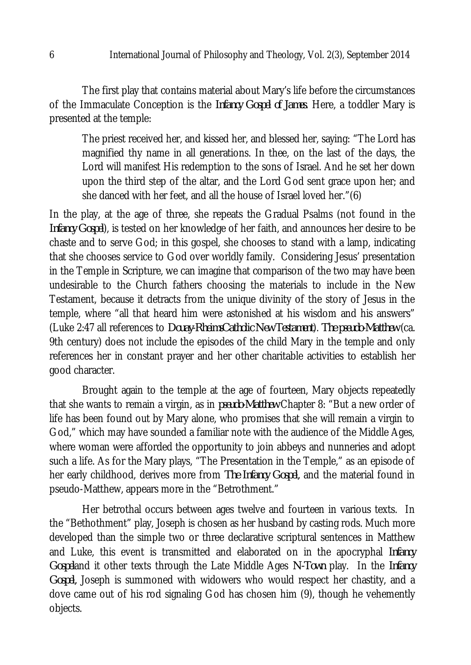The first play that contains material about Mary's life before the circumstances of the Immaculate Conception is the *Infancy Gospel of James*. Here, a toddler Mary is presented at the temple:

The priest received her, and kissed her, and blessed her, saying: "The Lord has magnified thy name in all generations. In thee, on the last of the days, the Lord will manifest His redemption to the sons of Israel. And he set her down upon the third step of the altar, and the Lord God sent grace upon her; and she danced with her feet, and all the house of Israel loved her."(6)

In the play, at the age of three, she repeats the Gradual Psalms (not found in the *Infancy Gospel*), is tested on her knowledge of her faith, and announces her desire to be chaste and to serve God; in this gospel, she chooses to stand with a lamp, indicating that she chooses service to God over worldly family. Considering Jesus' presentation in the Temple in Scripture, we can imagine that comparison of the two may have been undesirable to the Church fathers choosing the materials to include in the New Testament, because it detracts from the unique divinity of the story of Jesus in the temple, where "all that heard him were astonished at his wisdom and his answers" (Luke 2:47 all references to *Douay-RheimsCatholic New Testament*). *The pseudo-Matthew* (ca. 9th century) does not include the episodes of the child Mary in the temple and only references her in constant prayer and her other charitable activities to establish her good character.

Brought again to the temple at the age of fourteen, Mary objects repeatedly that she wants to remain a virgin, as in *pseudo-Matthew* Chapter 8: "But a new order of life has been found out by Mary alone, who promises that she will remain a virgin to God," which may have sounded a familiar note with the audience of the Middle Ages, where woman were afforded the opportunity to join abbeys and nunneries and adopt such a life. As for the Mary plays, "The Presentation in the Temple," as an episode of her early childhood, derives more from *The Infancy Gospel,* and the material found in pseudo-Matthew, appears more in the "Betrothment."

Her betrothal occurs between ages twelve and fourteen in various texts. In the "Bethothment" play, Joseph is chosen as her husband by casting rods. Much more developed than the simple two or three declarative scriptural sentences in Matthew and Luke, this event is transmitted and elaborated on in the apocryphal *Infancy Gospel*and it other texts through the Late Middle Ages *N-Town* play. In the *Infancy Gospel,* Joseph is summoned with widowers who would respect her chastity, and a dove came out of his rod signaling God has chosen him (9), though he vehemently objects.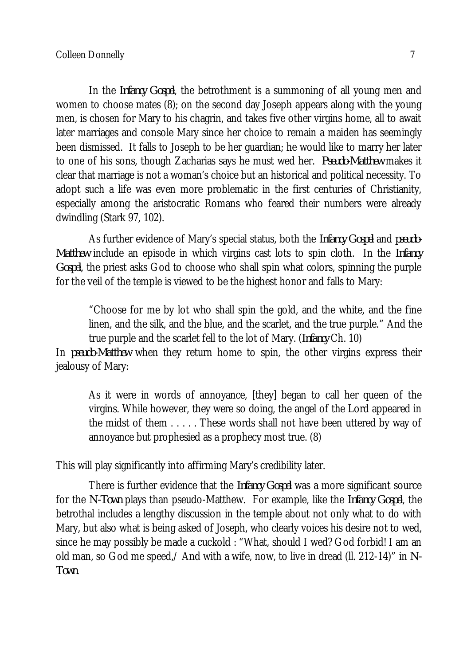In the *Infancy Gospel*, the betrothment is a summoning of all young men and women to choose mates (8); on the second day Joseph appears along with the young men, is chosen for Mary to his chagrin, and takes five other virgins home, all to await later marriages and console Mary since her choice to remain a maiden has seemingly been dismissed. It falls to Joseph to be her guardian; he would like to marry her later to one of his sons, though Zacharias says he must wed her. *Pseudo-Matthew* makes it clear that marriage is not a woman's choice but an historical and political necessity. To adopt such a life was even more problematic in the first centuries of Christianity, especially among the aristocratic Romans who feared their numbers were already dwindling (Stark 97, 102).

As further evidence of Mary's special status, both the *Infancy Gospel* and *pseudo-Matthew* include an episode in which virgins cast lots to spin cloth. In the *Infancy Gospel*, the priest asks God to choose who shall spin what colors, spinning the purple for the veil of the temple is viewed to be the highest honor and falls to Mary:

"Choose for me by lot who shall spin the gold, and the white, and the fine linen, and the silk, and the blue, and the scarlet, and the true purple." And the true purple and the scarlet fell to the lot of Mary. (*Infancy* Ch. 10)

In *pseudo-Matthew* when they return home to spin, the other virgins express their jealousy of Mary:

As it were in words of annoyance, [they] began to call her queen of the virgins. While however, they were so doing, the angel of the Lord appeared in the midst of them . . . . . These words shall not have been uttered by way of annoyance but prophesied as a prophecy most true. (8)

This will play significantly into affirming Mary's credibility later.

There is further evidence that the *Infancy Gospel* was a more significant source for the *N-Town* plays than pseudo-Matthew. For example, like the *Infancy Gospel*, the betrothal includes a lengthy discussion in the temple about not only what to do with Mary, but also what is being asked of Joseph, who clearly voices his desire not to wed, since he may possibly be made a cuckold : "What, should I wed? God forbid! I am an old man, so God me speed,/ And with a wife, now, to live in dread (ll. 212-14)" in *N-Town*.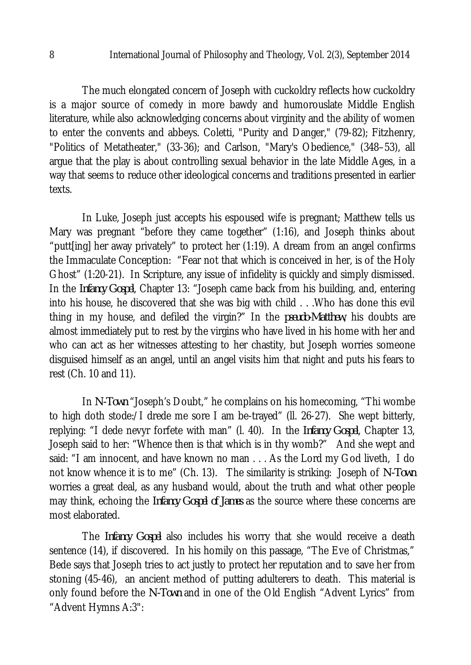The much elongated concern of Joseph with cuckoldry reflects how cuckoldry is a major source of comedy in more bawdy and humorouslate Middle English literature, while also acknowledging concerns about virginity and the ability of women to enter the convents and abbeys. Coletti, "Purity and Danger," (79-82); Fitzhenry, "Politics of Metatheater," (33-36); and Carlson, "Mary's Obedience," (348–53), all argue that the play is about controlling sexual behavior in the late Middle Ages, in a way that seems to reduce other ideological concerns and traditions presented in earlier texts.

In Luke, Joseph just accepts his espoused wife is pregnant; Matthew tells us Mary was pregnant "before they came together" (1:16), and Joseph thinks about "putt[ing] her away privately" to protect her (1:19). A dream from an angel confirms the Immaculate Conception: "Fear not that which is conceived in her, is of the Holy Ghost" (1:20-21). In Scripture, any issue of infidelity is quickly and simply dismissed. In the *Infancy Gospel*, Chapter 13: "Joseph came back from his building, and, entering into his house, he discovered that she was big with child . . .Who has done this evil thing in my house, and defiled the virgin?" In the *pseudo-Matthew*, his doubts are almost immediately put to rest by the virgins who have lived in his home with her and who can act as her witnesses attesting to her chastity, but Joseph worries someone disguised himself as an angel, until an angel visits him that night and puts his fears to rest (Ch. 10 and 11).

In *N-Town* "Joseph's Doubt," he complains on his homecoming, "Thi wombe to high doth stode:/I drede me sore I am be-trayed" (ll. 26-27). She wept bitterly, replying: "I dede nevyr forfete with man" (l. 40). In the *Infancy Gospel*, Chapter 13, Joseph said to her: "Whence then is that which is in thy womb?" And she wept and said: "I am innocent, and have known no man . . . As the Lord my God liveth, I do not know whence it is to me" (Ch. 13). The similarity is striking: Joseph of *N-Town* worries a great deal, as any husband would, about the truth and what other people may think, echoing the *Infancy Gospel of James* as the source where these concerns are most elaborated.

The *Infancy Gospel* also includes his worry that she would receive a death sentence (14), if discovered. In his homily on this passage, "The Eve of Christmas," Bede says that Joseph tries to act justly to protect her reputation and to save her from stoning (45-46), an ancient method of putting adulterers to death. This material is only found before the *N-Town* and in one of the Old English "Advent Lyrics" from "Advent Hymns A:3":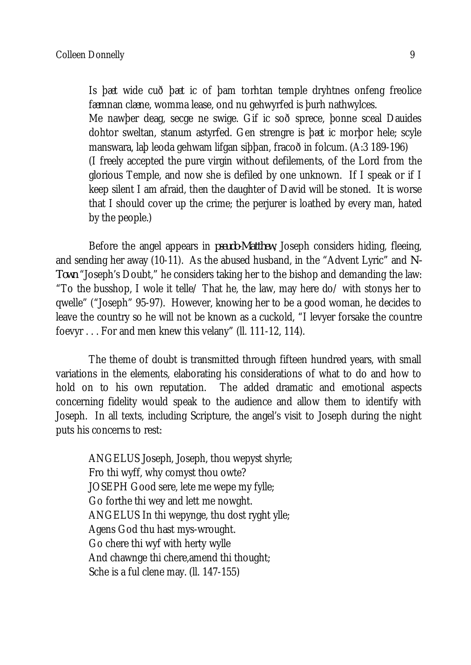Is þæt wide cuð þæt ic of þam torhtan temple dryhtnes onfeng freolice fæmnan clæne, womma lease, ond nu gehwyrfed is þurh nathwylces. Me nawþer deag, secge ne swige. Gif ic soð sprece, þonne sceal Dauides dohtor sweltan, stanum astyrfed. Gen strengre is þæt ic morþor hele; scyle manswara, laþ leoda gehwam lifgan siþþan, fracoð in folcum. (A:3 189-196) (I freely accepted the pure virgin without defilements, of the Lord from the glorious Temple, and now she is defiled by one unknown. If I speak or if I keep silent I am afraid, then the daughter of David will be stoned. It is worse that I should cover up the crime; the perjurer is loathed by every man, hated by the people.)

Before the angel appears in *pseudo-Matthew*, Joseph considers hiding, fleeing, and sending her away (10-11). As the abused husband, in the "Advent Lyric" and *N-Town* "Joseph's Doubt," he considers taking her to the bishop and demanding the law: "To the busshop, I wole it telle/ That he, the law, may here do/ with stonys her to qwelle" ("Joseph" 95-97). However, knowing her to be a good woman, he decides to leave the country so he will not be known as a cuckold, "I levyer forsake the countre foevyr . . . For and men knew this velany" (ll. 111-12, 114).

The theme of doubt is transmitted through fifteen hundred years, with small variations in the elements, elaborating his considerations of what to do and how to hold on to his own reputation. The added dramatic and emotional aspects concerning fidelity would speak to the audience and allow them to identify with Joseph. In all texts, including Scripture, the angel's visit to Joseph during the night puts his concerns to rest:

ANGELUS Joseph, Joseph, thou wepyst shyrle; Fro thi wyff, why comyst thou owte? JOSEPH Good sere, lete me wepe my fylle; Go forthe thi wey and lett me nowght. ANGELUS In thi wepynge, thu dost ryght ylle; Agens God thu hast mys-wrought. Go chere thi wyf with herty wylle And chawnge thi chere,amend thi thought; Sche is a ful clene may. (ll. 147-155)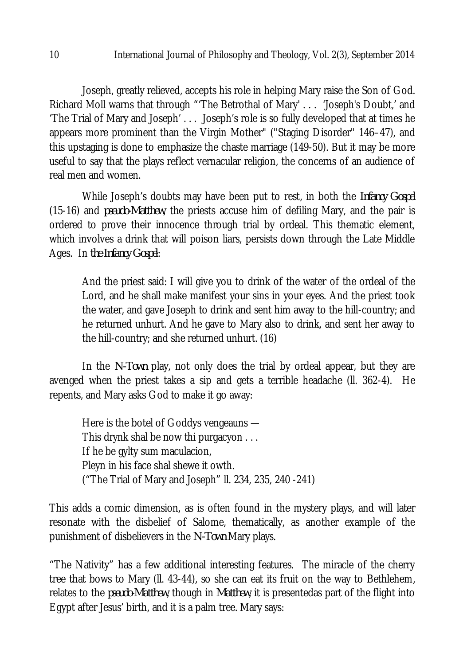Joseph, greatly relieved, accepts his role in helping Mary raise the Son of God. Richard Moll warns that through "'The Betrothal of Mary' . . . 'Joseph's Doubt,' and 'The Trial of Mary and Joseph' . . . Joseph's role is so fully developed that at times he appears more prominent than the Virgin Mother" ("Staging Disorder" 146–47), and this upstaging is done to emphasize the chaste marriage (149-50). But it may be more useful to say that the plays reflect vernacular religion, the concerns of an audience of real men and women.

While Joseph's doubts may have been put to rest, in both the *Infancy Gospel* (15-16) and *pseudo-Matthew*, the priests accuse him of defiling Mary, and the pair is ordered to prove their innocence through trial by ordeal. This thematic element, which involves a drink that will poison liars, persists down through the Late Middle Ages. In *the Infancy Gospel*:

And the priest said: I will give you to drink of the water of the ordeal of the Lord, and he shall make manifest your sins in your eyes. And the priest took the water, and gave Joseph to drink and sent him away to the hill-country; and he returned unhurt. And he gave to Mary also to drink, and sent her away to the hill-country; and she returned unhurt. (16)

In the *N-Town* play, not only does the trial by ordeal appear, but they are avenged when the priest takes a sip and gets a terrible headache (ll. 362-4). He repents, and Mary asks God to make it go away:

Here is the botel of Goddys vengeauns — This drynk shal be now thi purgacyon . . . If he be gylty sum maculacion, Pleyn in his face shal shewe it owth. ("The Trial of Mary and Joseph" ll. 234, 235, 240 -241)

This adds a comic dimension, as is often found in the mystery plays, and will later resonate with the disbelief of Salome, thematically, as another example of the punishment of disbelievers in the *N-Town* Mary plays.

"The Nativity" has a few additional interesting features. The miracle of the cherry tree that bows to Mary (ll. 43-44), so she can eat its fruit on the way to Bethlehem, relates to the *pseudo-Matthew*, though in *Matthew*, it is presentedas part of the flight into Egypt after Jesus' birth, and it is a palm tree. Mary says: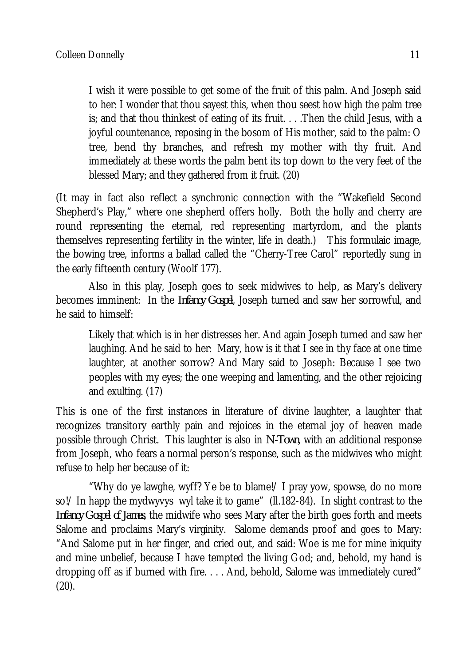I wish it were possible to get some of the fruit of this palm. And Joseph said to her: I wonder that thou sayest this, when thou seest how high the palm tree is; and that thou thinkest of eating of its fruit. . . .Then the child Jesus, with a joyful countenance, reposing in the bosom of His mother, said to the palm: O tree, bend thy branches, and refresh my mother with thy fruit. And immediately at these words the palm bent its top down to the very feet of the blessed Mary; and they gathered from it fruit. (20)

(It may in fact also reflect a synchronic connection with the "Wakefield Second Shepherd's Play," where one shepherd offers holly. Both the holly and cherry are round representing the eternal, red representing martyrdom, and the plants themselves representing fertility in the winter, life in death.) This formulaic image, the bowing tree, informs a ballad called the "Cherry-Tree Carol" reportedly sung in the early fifteenth century (Woolf 177).

Also in this play, Joseph goes to seek midwives to help, as Mary's delivery becomes imminent: In the *Infancy Gospel*, Joseph turned and saw her sorrowful, and he said to himself:

Likely that which is in her distresses her. And again Joseph turned and saw her laughing. And he said to her: Mary, how is it that I see in thy face at one time laughter, at another sorrow? And Mary said to Joseph: Because I see two peoples with my eyes; the one weeping and lamenting, and the other rejoicing and exulting. (17)

This is one of the first instances in literature of divine laughter, a laughter that recognizes transitory earthly pain and rejoices in the eternal joy of heaven made possible through Christ. This laughter is also in *N-Town*, with an additional response from Joseph, who fears a normal person's response, such as the midwives who might refuse to help her because of it:

"Why do ye lawghe, wyff? Ye be to blame!/ I pray yow, spowse, do no more so!/ In happ the mydwyvys wyl take it to game" (ll.182-84). In slight contrast to the *Infancy Gospel of James*, the midwife who sees Mary after the birth goes forth and meets Salome and proclaims Mary's virginity. Salome demands proof and goes to Mary: "And Salome put in her finger, and cried out, and said: Woe is me for mine iniquity and mine unbelief, because I have tempted the living God; and, behold, my hand is dropping off as if burned with fire. . . . And, behold, Salome was immediately cured"  $(20).$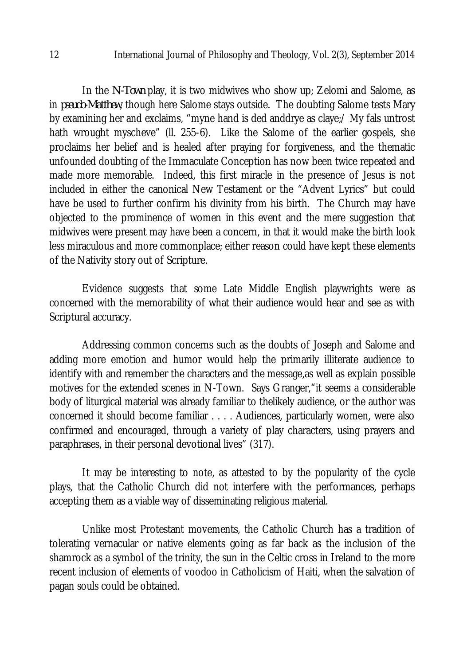In the *N-Town* play, it is two midwives who show up; Zelomi and Salome, as in *pseudo-Matthew*, though here Salome stays outside. The doubting Salome tests Mary by examining her and exclaims, "myne hand is ded anddrye as claye;/ My fals untrost hath wrought myscheve" (II. 255-6). Like the Salome of the earlier gospels, she proclaims her belief and is healed after praying for forgiveness, and the thematic unfounded doubting of the Immaculate Conception has now been twice repeated and made more memorable. Indeed, this first miracle in the presence of Jesus is not included in either the canonical New Testament or the "Advent Lyrics" but could have be used to further confirm his divinity from his birth. The Church may have objected to the prominence of women in this event and the mere suggestion that midwives were present may have been a concern, in that it would make the birth look less miraculous and more commonplace; either reason could have kept these elements of the Nativity story out of Scripture.

Evidence suggests that some Late Middle English playwrights were as concerned with the memorability of what their audience would hear and see as with Scriptural accuracy.

Addressing common concerns such as the doubts of Joseph and Salome and adding more emotion and humor would help the primarily illiterate audience to identify with and remember the characters and the message,as well as explain possible motives for the extended scenes in N-Town. Says Granger,"it seems a considerable body of liturgical material was already familiar to thelikely audience, or the author was concerned it should become familiar . . . . Audiences, particularly women, were also confirmed and encouraged, through a variety of play characters, using prayers and paraphrases, in their personal devotional lives" (317).

It may be interesting to note, as attested to by the popularity of the cycle plays, that the Catholic Church did not interfere with the performances, perhaps accepting them as a viable way of disseminating religious material.

Unlike most Protestant movements, the Catholic Church has a tradition of tolerating vernacular or native elements going as far back as the inclusion of the shamrock as a symbol of the trinity, the sun in the Celtic cross in Ireland to the more recent inclusion of elements of voodoo in Catholicism of Haiti, when the salvation of pagan souls could be obtained.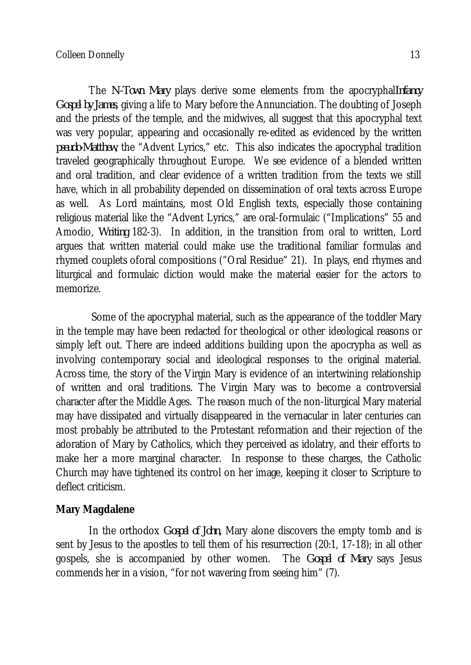The *N-Town Mary* plays derive some elements from the apocryphal*Infancy Gospel by James*, giving a life to Mary before the Annunciation. The doubting of Joseph and the priests of the temple, and the midwives, all suggest that this apocryphal text was very popular, appearing and occasionally re-edited as evidenced by the written *pseudo-Matthew*, the "Advent Lyrics," etc. This also indicates the apocryphal tradition traveled geographically throughout Europe. We see evidence of a blended written and oral tradition, and clear evidence of a written tradition from the texts we still have, which in all probability depended on dissemination of oral texts across Europe as well. As Lord maintains, most Old English texts, especially those containing religious material like the "Advent Lyrics," are oral-formulaic ("Implications" 55 and Amodio, *Writing* 182-3). In addition, in the transition from oral to written, Lord argues that written material could make use the traditional familiar formulas and rhymed couplets oforal compositions ("Oral Residue" 21). In plays, end rhymes and liturgical and formulaic diction would make the material easier for the actors to memorize.

Some of the apocryphal material, such as the appearance of the toddler Mary in the temple may have been redacted for theological or other ideological reasons or simply left out. There are indeed additions building upon the apocrypha as well as involving contemporary social and ideological responses to the original material. Across time, the story of the Virgin Mary is evidence of an intertwining relationship of written and oral traditions. The Virgin Mary was to become a controversial character after the Middle Ages. The reason much of the non-liturgical Mary material may have dissipated and virtually disappeared in the vernacular in later centuries can most probably be attributed to the Protestant reformation and their rejection of the adoration of Mary by Catholics, which they perceived as idolatry, and their efforts to make her a more marginal character. In response to these charges, the Catholic Church may have tightened its control on her image, keeping it closer to Scripture to deflect criticism.

# **Mary Magdalene**

In the orthodox *Gospel of John,* Mary alone discovers the empty tomb and is sent by Jesus to the apostles to tell them of his resurrection (20:1, 17-18); in all other gospels, she is accompanied by other women. The *Gospel of Mary* says Jesus commends her in a vision, "for not wavering from seeing him" (7).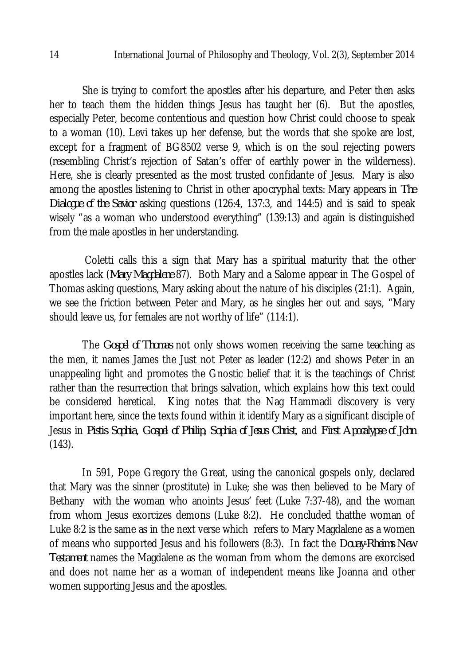She is trying to comfort the apostles after his departure, and Peter then asks her to teach them the hidden things Jesus has taught her (6). But the apostles, especially Peter, become contentious and question how Christ could choose to speak to a woman (10). Levi takes up her defense, but the words that she spoke are lost, except for a fragment of BG8502 verse 9, which is on the soul rejecting powers (resembling Christ's rejection of Satan's offer of earthly power in the wilderness). Here, she is clearly presented as the most trusted confidante of Jesus. Mary is also among the apostles listening to Christ in other apocryphal texts: Mary appears in *The Dialogue of the Savior* asking questions (126:4, 137:3, and 144:5) and is said to speak wisely "as a woman who understood everything" (139:13) and again is distinguished from the male apostles in her understanding.

Coletti calls this a sign that Mary has a spiritual maturity that the other apostles lack (*Mary Magdalene* 87). Both Mary and a Salome appear in The Gospel of Thomas asking questions, Mary asking about the nature of his disciples (21:1). Again, we see the friction between Peter and Mary, as he singles her out and says, "Mary should leave us, for females are not worthy of life" (114:1).

The *Gospel of Thomas* not only shows women receiving the same teaching as the men, it names James the Just not Peter as leader (12:2) and shows Peter in an unappealing light and promotes the Gnostic belief that it is the teachings of Christ rather than the resurrection that brings salvation, which explains how this text could be considered heretical. King notes that the Nag Hammadi discovery is very important here, since the texts found within it identify Mary as a significant disciple of Jesus in *Pistis Sophia, Gospel of Philip, Sophia of Jesus Christ,* and *First Apocalypse of John* (143).

In 591, Pope Gregory the Great, using the canonical gospels only, declared that Mary was the sinner (prostitute) in Luke; she was then believed to be Mary of Bethany with the woman who anoints Jesus' feet (Luke 7:37-48), and the woman from whom Jesus exorcizes demons (Luke 8:2). He concluded thatthe woman of Luke 8:2 is the same as in the next verse which refers to Mary Magdalene as a women of means who supported Jesus and his followers (8:3). In fact the *Douay-Rheims New Testament* names the Magdalene as the woman from whom the demons are exorcised and does not name her as a woman of independent means like Joanna and other women supporting Jesus and the apostles.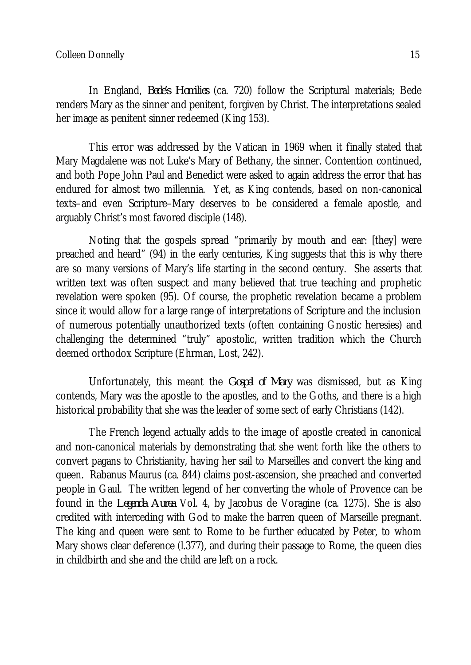In England, *Bede's Homilies* (ca. 720) follow the Scriptural materials; Bede renders Mary as the sinner and penitent, forgiven by Christ. The interpretations sealed her image as penitent sinner redeemed (King 153).

This error was addressed by the Vatican in 1969 when it finally stated that Mary Magdalene was not Luke's Mary of Bethany, the sinner. Contention continued, and both Pope John Paul and Benedict were asked to again address the error that has endured for almost two millennia. Yet, as King contends, based on non-canonical texts–and even Scripture–Mary deserves to be considered a female apostle, and arguably Christ's most favored disciple (148).

Noting that the gospels spread "primarily by mouth and ear: [they] were preached and heard" (94) in the early centuries, King suggests that this is why there are so many versions of Mary's life starting in the second century. She asserts that written text was often suspect and many believed that true teaching and prophetic revelation were spoken (95). Of course, the prophetic revelation became a problem since it would allow for a large range of interpretations of Scripture and the inclusion of numerous potentially unauthorized texts (often containing Gnostic heresies) and challenging the determined "truly" apostolic, written tradition which the Church deemed orthodox Scripture (Ehrman, Lost, 242).

Unfortunately, this meant the *Gospel of Mary* was dismissed, but as King contends, Mary was the apostle to the apostles, and to the Goths, and there is a high historical probability that she was the leader of some sect of early Christians (142).

The French legend actually adds to the image of apostle created in canonical and non-canonical materials by demonstrating that she went forth like the others to convert pagans to Christianity, having her sail to Marseilles and convert the king and queen. Rabanus Maurus (ca. 844) claims post-ascension, she preached and converted people in Gaul. The written legend of her converting the whole of Provence can be found in the *Legenda Aurea* Vol. 4, by Jacobus de Voragine (ca. 1275). She is also credited with interceding with God to make the barren queen of Marseille pregnant. The king and queen were sent to Rome to be further educated by Peter, to whom Mary shows clear deference (l.377), and during their passage to Rome, the queen dies in childbirth and she and the child are left on a rock.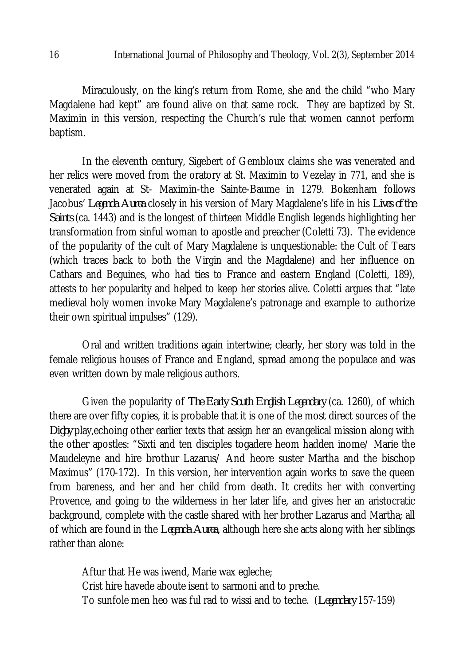Miraculously, on the king's return from Rome, she and the child "who Mary Magdalene had kept" are found alive on that same rock. They are baptized by St. Maximin in this version, respecting the Church's rule that women cannot perform baptism.

In the eleventh century, Sigebert of Gembloux claims she was venerated and her relics were moved from the oratory at St. Maximin to Vezelay in 771, and she is venerated again at St- Maximin-the Sainte-Baume in 1279. Bokenham follows Jacobus' *Legenda Aurea* closely in his version of Mary Magdalene's life in his *Lives of the Saints* (ca. 1443) and is the longest of thirteen Middle English legends highlighting her transformation from sinful woman to apostle and preacher (Coletti 73). The evidence of the popularity of the cult of Mary Magdalene is unquestionable: the Cult of Tears (which traces back to both the Virgin and the Magdalene) and her influence on Cathars and Beguines, who had ties to France and eastern England (Coletti, 189), attests to her popularity and helped to keep her stories alive. Coletti argues that "late medieval holy women invoke Mary Magdalene's patronage and example to authorize their own spiritual impulses" (129).

Oral and written traditions again intertwine; clearly, her story was told in the female religious houses of France and England, spread among the populace and was even written down by male religious authors.

Given the popularity of *The Early South English Legendary* (ca. 1260), of which there are over fifty copies, it is probable that it is one of the most direct sources of the *Digby* play,echoing other earlier texts that assign her an evangelical mission along with the other apostles: "Sixti and ten disciples togadere heom hadden inome/ Marie the Maudeleyne and hire brothur Lazarus/ And heore suster Martha and the bischop Maximus" (170-172). In this version, her intervention again works to save the queen from bareness, and her and her child from death. It credits her with converting Provence, and going to the wilderness in her later life, and gives her an aristocratic background, complete with the castle shared with her brother Lazarus and Martha; all of which are found in the *Legenda Aurea*, although here she acts along with her siblings rather than alone:

Aftur that He was iwend, Marie wax egleche; Crist hire havede aboute isent to sarmoni and to preche. To sunfole men heo was ful rad to wissi and to teche. (*Legendary* 157-159)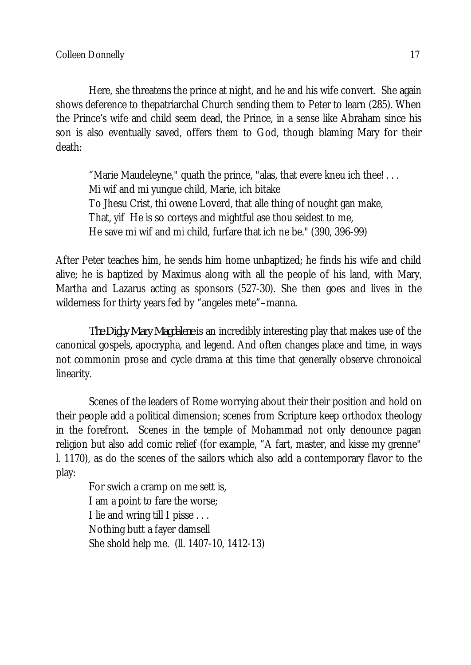Here, she threatens the prince at night, and he and his wife convert. She again shows deference to thepatriarchal Church sending them to Peter to learn (285). When the Prince's wife and child seem dead, the Prince, in a sense like Abraham since his son is also eventually saved, offers them to God, though blaming Mary for their death:

"Marie Maudeleyne," quath the prince, "alas, that evere kneu ich thee! . . . Mi wif and mi yungue child, Marie, ich bitake To Jhesu Crist, thi owene Loverd, that alle thing of nought gan make, That, yif He is so corteys and mightful ase thou seidest to me, He save mi wif and mi child, furfare that ich ne be." (390, 396-99)

After Peter teaches him, he sends him home unbaptized; he finds his wife and child alive; he is baptized by Maximus along with all the people of his land, with Mary, Martha and Lazarus acting as sponsors (527-30). She then goes and lives in the wilderness for thirty years fed by "angeles mete"–manna.

*The Digby Mary Magdalene* is an incredibly interesting play that makes use of the canonical gospels, apocrypha, and legend. And often changes place and time, in ways not commonin prose and cycle drama at this time that generally observe chronoical linearity.

Scenes of the leaders of Rome worrying about their their position and hold on their people add a political dimension; scenes from Scripture keep orthodox theology in the forefront. Scenes in the temple of Mohammad not only denounce pagan religion but also add comic relief (for example, "A fart, master, and kisse my grenne" l. 1170), as do the scenes of the sailors which also add a contemporary flavor to the play:

For swich a cramp on me sett is, I am a point to fare the worse; I lie and wring till I pisse . . . Nothing butt a fayer damsell She shold help me. (ll. 1407-10, 1412-13)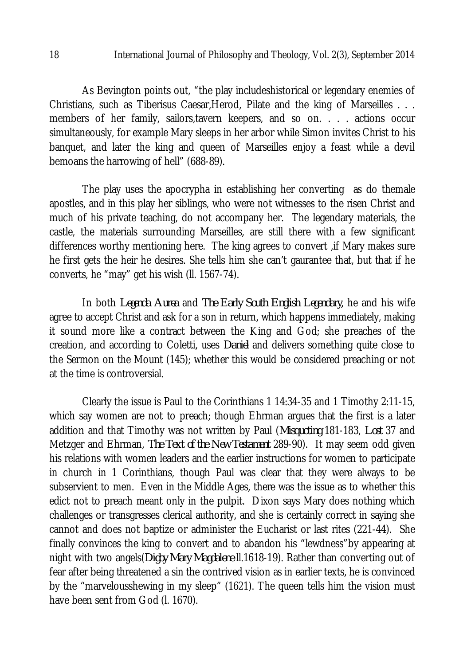As Bevington points out, "the play includeshistorical or legendary enemies of Christians, such as Tiberisus Caesar, Herod, Pilate and the king of Marseilles . . . members of her family, sailors,tavern keepers, and so on. . . . actions occur simultaneously, for example Mary sleeps in her arbor while Simon invites Christ to his banquet, and later the king and queen of Marseilles enjoy a feast while a devil bemoans the harrowing of hell" (688-89).

The play uses the apocrypha in establishing her converting as do themale apostles, and in this play her siblings, who were not witnesses to the risen Christ and much of his private teaching, do not accompany her. The legendary materials, the castle, the materials surrounding Marseilles, are still there with a few significant differences worthy mentioning here. The king agrees to convert ,if Mary makes sure he first gets the heir he desires. She tells him she can't gaurantee that, but that if he converts, he "may" get his wish (ll. 1567-74).

In both *Legenda Aurea* and *The Early South English Legendary,* he and his wife agree to accept Christ and ask for a son in return, which happens immediately, making it sound more like a contract between the King and God; she preaches of the creation, and according to Coletti, uses *Daniel* and delivers something quite close to the Sermon on the Mount (145); whether this would be considered preaching or not at the time is controversial.

Clearly the issue is Paul to the Corinthians 1 14:34-35 and 1 Timothy 2:11-15, which say women are not to preach; though Ehrman argues that the first is a later addition and that Timothy was not written by Paul (*Misquoting* 181-183, *Lost* 37 and Metzger and Ehrman, *The Text of the New Testament* 289-90). It may seem odd given his relations with women leaders and the earlier instructions for women to participate in church in 1 Corinthians, though Paul was clear that they were always to be subservient to men. Even in the Middle Ages, there was the issue as to whether this edict not to preach meant only in the pulpit. Dixon says Mary does nothing which challenges or transgresses clerical authority, and she is certainly correct in saying she cannot and does not baptize or administer the Eucharist or last rites (221-44). She finally convinces the king to convert and to abandon his "lewdness"by appearing at night with two angels(*Digby Mary Magdalene* ll.1618-19). Rather than converting out of fear after being threatened a sin the contrived vision as in earlier texts, he is convinced by the "marvelousshewing in my sleep" (1621). The queen tells him the vision must have been sent from God (l. 1670).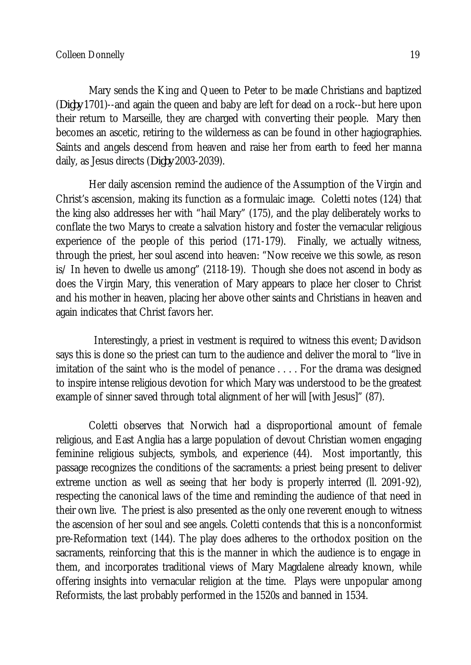Mary sends the King and Queen to Peter to be made Christians and baptized (*Digby* 1701)--and again the queen and baby are left for dead on a rock--but here upon their return to Marseille, they are charged with converting their people. Mary then becomes an ascetic, retiring to the wilderness as can be found in other hagiographies. Saints and angels descend from heaven and raise her from earth to feed her manna daily, as Jesus directs (*Digby* 2003-2039).

Her daily ascension remind the audience of the Assumption of the Virgin and Christ's ascension, making its function as a formulaic image. Coletti notes (124) that the king also addresses her with "hail Mary" (175), and the play deliberately works to conflate the two Marys to create a salvation history and foster the vernacular religious experience of the people of this period (171-179). Finally, we actually witness, through the priest, her soul ascend into heaven: "Now receive we this sowle, as reson is/ In heven to dwelle us among" (2118-19). Though she does not ascend in body as does the Virgin Mary, this veneration of Mary appears to place her closer to Christ and his mother in heaven, placing her above other saints and Christians in heaven and again indicates that Christ favors her.

 Interestingly, a priest in vestment is required to witness this event; Davidson says this is done so the priest can turn to the audience and deliver the moral to "live in imitation of the saint who is the model of penance . . . . For the drama was designed to inspire intense religious devotion for which Mary was understood to be the greatest example of sinner saved through total alignment of her will [with Jesus]" (87).

Coletti observes that Norwich had a disproportional amount of female religious, and East Anglia has a large population of devout Christian women engaging feminine religious subjects, symbols, and experience (44). Most importantly, this passage recognizes the conditions of the sacraments: a priest being present to deliver extreme unction as well as seeing that her body is properly interred (ll. 2091-92), respecting the canonical laws of the time and reminding the audience of that need in their own live. The priest is also presented as the only one reverent enough to witness the ascension of her soul and see angels. Coletti contends that this is a nonconformist pre-Reformation text (144). The play does adheres to the orthodox position on the sacraments, reinforcing that this is the manner in which the audience is to engage in them, and incorporates traditional views of Mary Magdalene already known, while offering insights into vernacular religion at the time. Plays were unpopular among Reformists, the last probably performed in the 1520s and banned in 1534.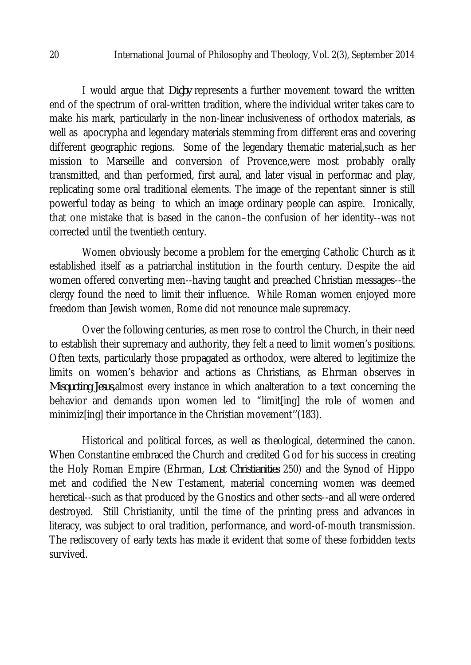I would argue that *Digby* represents a further movement toward the written end of the spectrum of oral-written tradition, where the individual writer takes care to make his mark, particularly in the non-linear inclusiveness of orthodox materials, as well as apocrypha and legendary materials stemming from different eras and covering different geographic regions. Some of the legendary thematic material,such as her mission to Marseille and conversion of Provence,were most probably orally transmitted, and than performed, first aural, and later visual in performac and play, replicating some oral traditional elements. The image of the repentant sinner is still powerful today as being to which an image ordinary people can aspire. Ironically, that one mistake that is based in the canon–the confusion of her identity--was not corrected until the twentieth century.

Women obviously become a problem for the emerging Catholic Church as it established itself as a patriarchal institution in the fourth century. Despite the aid women offered converting men--having taught and preached Christian messages--the clergy found the need to limit their influence. While Roman women enjoyed more freedom than Jewish women, Rome did not renounce male supremacy.

Over the following centuries, as men rose to control the Church, in their need to establish their supremacy and authority, they felt a need to limit women's positions. Often texts, particularly those propagated as orthodox, were altered to legitimize the limits on women's behavior and actions as Christians, as Ehrman observes in *Misquoting Jesus,*almost every instance in which analteration to a text concerning the behavior and demands upon women led to "limit[ing] the role of women and minimiz[ing] their importance in the Christian movement''(183).

Historical and political forces, as well as theological, determined the canon. When Constantine embraced the Church and credited God for his success in creating the Holy Roman Empire (Ehrman, *Lost Christianities* 250) and the Synod of Hippo met and codified the New Testament, material concerning women was deemed heretical--such as that produced by the Gnostics and other sects--and all were ordered destroyed. Still Christianity, until the time of the printing press and advances in literacy, was subject to oral tradition, performance, and word-of-mouth transmission. The rediscovery of early texts has made it evident that some of these forbidden texts survived.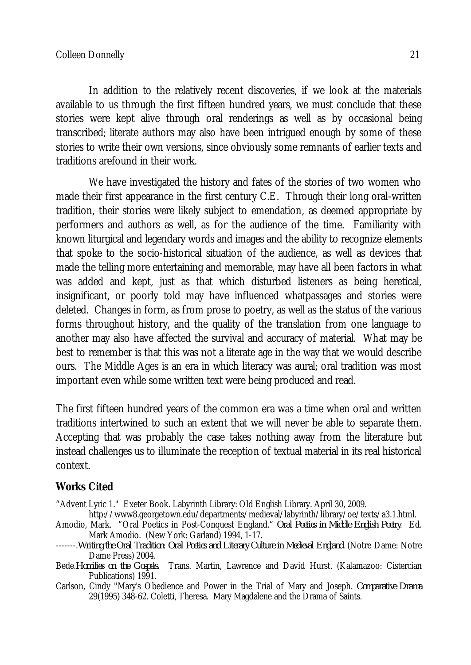In addition to the relatively recent discoveries, if we look at the materials available to us through the first fifteen hundred years, we must conclude that these stories were kept alive through oral renderings as well as by occasional being transcribed; literate authors may also have been intrigued enough by some of these stories to write their own versions, since obviously some remnants of earlier texts and traditions arefound in their work.

We have investigated the history and fates of the stories of two women who made their first appearance in the first century C.E. Through their long oral-written tradition, their stories were likely subject to emendation, as deemed appropriate by performers and authors as well, as for the audience of the time. Familiarity with known liturgical and legendary words and images and the ability to recognize elements that spoke to the socio-historical situation of the audience, as well as devices that made the telling more entertaining and memorable, may have all been factors in what was added and kept, just as that which disturbed listeners as being heretical, insignificant, or poorly told may have influenced whatpassages and stories were deleted. Changes in form, as from prose to poetry, as well as the status of the various forms throughout history, and the quality of the translation from one language to another may also have affected the survival and accuracy of material. What may be best to remember is that this was not a literate age in the way that we would describe ours. The Middle Ages is an era in which literacy was aural; oral tradition was most important even while some written text were being produced and read.

The first fifteen hundred years of the common era was a time when oral and written traditions intertwined to such an extent that we will never be able to separate them. Accepting that was probably the case takes nothing away from the literature but instead challenges us to illuminate the reception of textual material in its real historical context.

# **Works Cited**

"Advent Lyric 1." Exeter Book. Labyrinth Library: Old English Library. April 30, 2009.

http://www8.georgetown.edu/departments/medieval/labyrinth/library/oe/texts/a3.1.html.

- Amodio, Mark. "Oral Poetics in Post-Conquest England." *Oral Poetics in Middle English Poetry*. Ed. Mark Amodio. (New York: Garland) 1994, 1-17.
- -------.*Writing the Oral Tradition: Oral Poetics and Literary Culture in Medieval England.* (Notre Dame: Notre Dame Press) 2004.
- Bede.*Homilies on the Gospels.* Trans. Martin, Lawrence and David Hurst. (Kalamazoo: Cistercian Publications) 1991.
- Carlson, Cindy "Mary's Obedience and Power in the Trial of Mary and Joseph. *Comparative Drama* 29(1995) 348-62. Coletti, Theresa. Mary Magdalene and the Drama of Saints.